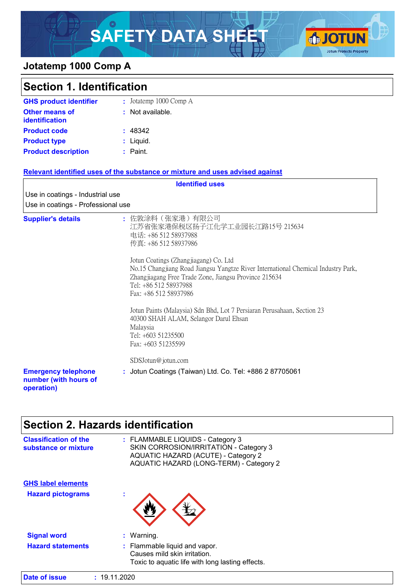# SAFETY DATA SHEET **OF JOTUN**



### **Jotatemp 1000 Comp A**

| <b>Section 1. Identification</b>                                  |                                                                                                                                                                                                                                       |
|-------------------------------------------------------------------|---------------------------------------------------------------------------------------------------------------------------------------------------------------------------------------------------------------------------------------|
| <b>GHS product identifier</b>                                     | : Jotatemp 1000 Comp A                                                                                                                                                                                                                |
| <b>Other means of</b><br>identification                           | : Not available.                                                                                                                                                                                                                      |
| <b>Product code</b>                                               | : 48342                                                                                                                                                                                                                               |
| <b>Product type</b>                                               | : Liquid.                                                                                                                                                                                                                             |
| <b>Product description</b>                                        | : Paint.                                                                                                                                                                                                                              |
|                                                                   | Relevant identified uses of the substance or mixture and uses advised against                                                                                                                                                         |
|                                                                   | <b>Identified uses</b>                                                                                                                                                                                                                |
| Use in coatings - Industrial use                                  |                                                                                                                                                                                                                                       |
| Use in coatings - Professional use                                |                                                                                                                                                                                                                                       |
| <b>Supplier's details</b>                                         | : 佐敦涂料(张家港)有限公司<br>江苏省张家港保税区扬子江化学工业园长江路15号 215634<br>电话: +86 512 58937988<br>传真: +86 512 58937986                                                                                                                                     |
|                                                                   | Jotun Coatings (Zhangjiagang) Co. Ltd<br>No.15 Changjiang Road Jiangsu Yangtze River International Chemical Industry Park,<br>Zhangjiagang Free Trade Zone, Jiangsu Province 215634<br>Tel: +86 512 58937988<br>Fax: +86 512 58937986 |
|                                                                   | Jotun Paints (Malaysia) Sdn Bhd, Lot 7 Persiaran Perusahaan, Section 23<br>40300 SHAH ALAM, Selangor Darul Ehsan<br>Malaysia<br>Tel: +603 51235500<br>Fax: +603 51235599                                                              |
|                                                                   | SDSJotun@jotun.com                                                                                                                                                                                                                    |
| <b>Emergency telephone</b><br>number (with hours of<br>operation) | : Jotun Coatings (Taiwan) Ltd. Co. Tel: +886 2 87705061                                                                                                                                                                               |

# **Section 2. Hazards identification**

| <b>Classification of the</b><br>substance or mixture | : FLAMMABLE LIQUIDS - Category 3<br>SKIN CORROSION/IRRITATION - Category 3<br>AQUATIC HAZARD (ACUTE) - Category 2<br>AQUATIC HAZARD (LONG-TERM) - Category 2 |
|------------------------------------------------------|--------------------------------------------------------------------------------------------------------------------------------------------------------------|
| <b>GHS label elements</b>                            |                                                                                                                                                              |
| <b>Hazard pictograms</b>                             | ÷                                                                                                                                                            |
|                                                      |                                                                                                                                                              |
| <b>Signal word</b>                                   | : Warning.                                                                                                                                                   |
| <b>Hazard statements</b>                             | : Flammable liquid and vapor.                                                                                                                                |
|                                                      | Causes mild skin irritation.                                                                                                                                 |
|                                                      | Toxic to aquatic life with long lasting effects.                                                                                                             |
| Date of issue                                        | : 19.11.2020                                                                                                                                                 |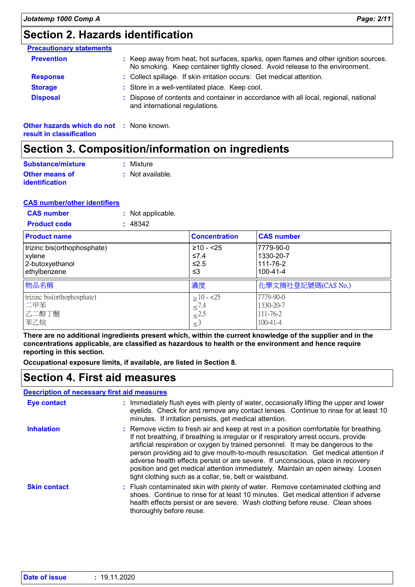# **Section 2. Hazards identification**

| <b>Precautionary statements</b>                 |                                                                                                                                                                      |  |
|-------------------------------------------------|----------------------------------------------------------------------------------------------------------------------------------------------------------------------|--|
| <b>Prevention</b>                               | : Keep away from heat, hot surfaces, sparks, open flames and other ignition sources.<br>No smoking. Keep container tightly closed. Avoid release to the environment. |  |
| <b>Response</b>                                 | : Collect spillage. If skin irritation occurs: Get medical attention.                                                                                                |  |
| <b>Storage</b>                                  | : Store in a well-ventilated place. Keep cool.                                                                                                                       |  |
| <b>Disposal</b>                                 | : Dispose of contents and container in accordance with all local, regional, national<br>and international regulations.                                               |  |
| <b>Other hazards which do not : None known.</b> |                                                                                                                                                                      |  |

**result in classification**

# **Section 3. Composition/information on ingredients**

| Substance/mixture                              | : Mixture                   |
|------------------------------------------------|-----------------------------|
| <b>Other means of</b><br><i>identification</i> | $\therefore$ Not available. |

#### **CAS number/other identifiers**

| <b>CAS number</b>   | : Not applicable. |
|---------------------|-------------------|
| <b>Product code</b> | : 48342           |

| <b>Product name</b>         | <b>Concentration</b> | <b>CAS number</b>  |
|-----------------------------|----------------------|--------------------|
| trizinc bis(orthophosphate) | $≥10 - 25$           | 7779-90-0          |
| xylene                      | $\leq 7.4$           | 1330-20-7          |
| 2-butoxyethanol             | $≤2.5$               | 111-76-2           |
| ethylbenzene                | ≤3                   | 100-41-4           |
| 物品名稱                        | 濃度                   | 化學文摘社登記號碼(CAS No.) |
| trizinc bis(orthophosphate) | $>10 - 25$           | 7779-90-0          |
| 二甲苯                         | $\leq 7.4$           | 1330-20-7          |
| 乙二醇丁醚                       | $\leq$ 2.5           | 111-76-2           |
| 苯乙烷                         | $\leq$ <sup>3</sup>  | $100 - 41 - 4$     |

**There are no additional ingredients present which, within the current knowledge of the supplier and in the concentrations applicable, are classified as hazardous to health or the environment and hence require reporting in this section.**

**Occupational exposure limits, if available, are listed in Section 8.**

### **Section 4. First aid measures**

#### **Description of necessary first aid measures**

| <b>Eye contact</b>  | : Immediately flush eyes with plenty of water, occasionally lifting the upper and lower<br>eyelids. Check for and remove any contact lenses. Continue to rinse for at least 10<br>minutes. If irritation persists, get medical attention.                                                                                                                                                                                                                                                                                                                                                    |
|---------------------|----------------------------------------------------------------------------------------------------------------------------------------------------------------------------------------------------------------------------------------------------------------------------------------------------------------------------------------------------------------------------------------------------------------------------------------------------------------------------------------------------------------------------------------------------------------------------------------------|
| <b>Inhalation</b>   | : Remove victim to fresh air and keep at rest in a position comfortable for breathing.<br>If not breathing, if breathing is irregular or if respiratory arrest occurs, provide<br>artificial respiration or oxygen by trained personnel. It may be dangerous to the<br>person providing aid to give mouth-to-mouth resuscitation. Get medical attention if<br>adverse health effects persist or are severe. If unconscious, place in recovery<br>position and get medical attention immediately. Maintain an open airway. Loosen<br>tight clothing such as a collar, tie, belt or waistband. |
| <b>Skin contact</b> | : Flush contaminated skin with plenty of water. Remove contaminated clothing and<br>shoes. Continue to rinse for at least 10 minutes. Get medical attention if adverse<br>health effects persist or are severe. Wash clothing before reuse. Clean shoes<br>thoroughly before reuse.                                                                                                                                                                                                                                                                                                          |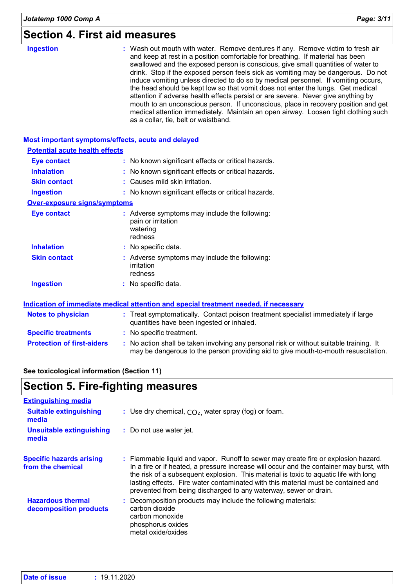### **Section 4. First aid measures**

| <b>Ingestion</b>                      | : Wash out mouth with water. Remove dentures if any. Remove victim to fresh air<br>and keep at rest in a position comfortable for breathing. If material has been<br>swallowed and the exposed person is conscious, give small quantities of water to<br>drink. Stop if the exposed person feels sick as vomiting may be dangerous. Do not<br>induce vomiting unless directed to do so by medical personnel. If vomiting occurs,<br>the head should be kept low so that vomit does not enter the lungs. Get medical<br>attention if adverse health effects persist or are severe. Never give anything by<br>mouth to an unconscious person. If unconscious, place in recovery position and get<br>medical attention immediately. Maintain an open airway. Loosen tight clothing such<br>as a collar, tie, belt or waistband. |
|---------------------------------------|------------------------------------------------------------------------------------------------------------------------------------------------------------------------------------------------------------------------------------------------------------------------------------------------------------------------------------------------------------------------------------------------------------------------------------------------------------------------------------------------------------------------------------------------------------------------------------------------------------------------------------------------------------------------------------------------------------------------------------------------------------------------------------------------------------------------------|
|                                       | Most important symptoms/effects, acute and delayed                                                                                                                                                                                                                                                                                                                                                                                                                                                                                                                                                                                                                                                                                                                                                                           |
| <b>Potential acute health effects</b> |                                                                                                                                                                                                                                                                                                                                                                                                                                                                                                                                                                                                                                                                                                                                                                                                                              |
| <b>Eye contact</b>                    | : No known significant effects or critical hazards.                                                                                                                                                                                                                                                                                                                                                                                                                                                                                                                                                                                                                                                                                                                                                                          |
| <b>Inhalation</b>                     | : No known significant effects or critical hazards.                                                                                                                                                                                                                                                                                                                                                                                                                                                                                                                                                                                                                                                                                                                                                                          |
| <b>Skin contact</b>                   | : Causes mild skin irritation.                                                                                                                                                                                                                                                                                                                                                                                                                                                                                                                                                                                                                                                                                                                                                                                               |
| <b>Ingestion</b>                      | : No known significant effects or critical hazards.                                                                                                                                                                                                                                                                                                                                                                                                                                                                                                                                                                                                                                                                                                                                                                          |
| <b>Over-exposure signs/symptoms</b>   |                                                                                                                                                                                                                                                                                                                                                                                                                                                                                                                                                                                                                                                                                                                                                                                                                              |
| <b>Eye contact</b>                    | : Adverse symptoms may include the following:<br>pain or irritation<br>watering<br>redness                                                                                                                                                                                                                                                                                                                                                                                                                                                                                                                                                                                                                                                                                                                                   |
| <b>Inhalation</b>                     | : No specific data.                                                                                                                                                                                                                                                                                                                                                                                                                                                                                                                                                                                                                                                                                                                                                                                                          |
| <b>Skin contact</b>                   | : Adverse symptoms may include the following:<br>irritation<br>redness                                                                                                                                                                                                                                                                                                                                                                                                                                                                                                                                                                                                                                                                                                                                                       |
| <b>Ingestion</b>                      | : No specific data.                                                                                                                                                                                                                                                                                                                                                                                                                                                                                                                                                                                                                                                                                                                                                                                                          |
|                                       | Indication of immediate medical attention and special treatment needed, if necessary                                                                                                                                                                                                                                                                                                                                                                                                                                                                                                                                                                                                                                                                                                                                         |
|                                       |                                                                                                                                                                                                                                                                                                                                                                                                                                                                                                                                                                                                                                                                                                                                                                                                                              |
| <b>Notes to physician</b>             | : Treat symptomatically. Contact poison treatment specialist immediately if large<br>quantities have been ingested or inhaled.                                                                                                                                                                                                                                                                                                                                                                                                                                                                                                                                                                                                                                                                                               |

- **Specific treatments :** No specific treatment.
- **Protection of first-aiders** : No action shall be taken involving any personal risk or without suitable training. It may be dangerous to the person providing aid to give mouth-to-mouth resuscitation.

#### **See toxicological information (Section 11)**

| Section 5. Fire-fighting measures                    |                                                                                                                                                                                                                                                                                                                                                                                                                                 |
|------------------------------------------------------|---------------------------------------------------------------------------------------------------------------------------------------------------------------------------------------------------------------------------------------------------------------------------------------------------------------------------------------------------------------------------------------------------------------------------------|
| <b>Extinguishing media</b>                           |                                                                                                                                                                                                                                                                                                                                                                                                                                 |
| <b>Suitable extinguishing</b><br>media               | : Use dry chemical, $CO2$ , water spray (fog) or foam.                                                                                                                                                                                                                                                                                                                                                                          |
| Unsuitable extinguishing<br>media                    | : Do not use water jet.                                                                                                                                                                                                                                                                                                                                                                                                         |
| <b>Specific hazards arising</b><br>from the chemical | : Flammable liquid and vapor. Runoff to sewer may create fire or explosion hazard.<br>In a fire or if heated, a pressure increase will occur and the container may burst, with<br>the risk of a subsequent explosion. This material is toxic to aquatic life with long<br>lasting effects. Fire water contaminated with this material must be contained and<br>prevented from being discharged to any waterway, sewer or drain. |
| <b>Hazardous thermal</b><br>decomposition products   | : Decomposition products may include the following materials:<br>carbon dioxide<br>carbon monoxide<br>phosphorus oxides<br>metal oxide/oxides                                                                                                                                                                                                                                                                                   |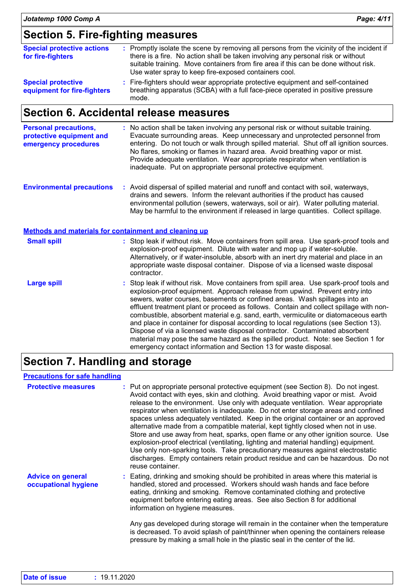### **Section 5. Fire-fighting measures**

| <b>Special protective actions</b><br>for fire-fighters   | : Promptly isolate the scene by removing all persons from the vicinity of the incident if<br>there is a fire. No action shall be taken involving any personal risk or without<br>suitable training. Move containers from fire area if this can be done without risk.<br>Use water spray to keep fire-exposed containers cool. |
|----------------------------------------------------------|-------------------------------------------------------------------------------------------------------------------------------------------------------------------------------------------------------------------------------------------------------------------------------------------------------------------------------|
| <b>Special protective</b><br>equipment for fire-fighters | : Fire-fighters should wear appropriate protective equipment and self-contained<br>breathing apparatus (SCBA) with a full face-piece operated in positive pressure<br>mode.                                                                                                                                                   |

### **Section 6. Accidental release measures**

| <b>Personal precautions,</b> | : No action shall be taken involving any personal risk or without suitable training.    |
|------------------------------|-----------------------------------------------------------------------------------------|
| protective equipment and     | Evacuate surrounding areas. Keep unnecessary and unprotected personnel from             |
| emergency procedures         | entering. Do not touch or walk through spilled material. Shut off all ignition sources. |
|                              | No flares, smoking or flames in hazard area. Avoid breathing vapor or mist.             |
|                              | Provide adequate ventilation. Wear appropriate respirator when ventilation is           |
|                              | inadequate. Put on appropriate personal protective equipment.                           |
|                              |                                                                                         |

**Environmental precautions :** Avoid dispersal of spilled material and runoff and contact with soil, waterways, drains and sewers. Inform the relevant authorities if the product has caused environmental pollution (sewers, waterways, soil or air). Water polluting material. May be harmful to the environment if released in large quantities. Collect spillage.

|                    | Methods and materials for containment and cleaning up                                                                                                                                                                                                                                                                                                                                                                                                                                                                                                                                                                                                                                                                                                                 |
|--------------------|-----------------------------------------------------------------------------------------------------------------------------------------------------------------------------------------------------------------------------------------------------------------------------------------------------------------------------------------------------------------------------------------------------------------------------------------------------------------------------------------------------------------------------------------------------------------------------------------------------------------------------------------------------------------------------------------------------------------------------------------------------------------------|
| <b>Small spill</b> | : Stop leak if without risk. Move containers from spill area. Use spark-proof tools and<br>explosion-proof equipment. Dilute with water and mop up if water-soluble.<br>Alternatively, or if water-insoluble, absorb with an inert dry material and place in an<br>appropriate waste disposal container. Dispose of via a licensed waste disposal<br>contractor.                                                                                                                                                                                                                                                                                                                                                                                                      |
| <b>Large spill</b> | : Stop leak if without risk. Move containers from spill area. Use spark-proof tools and<br>explosion-proof equipment. Approach release from upwind. Prevent entry into<br>sewers, water courses, basements or confined areas. Wash spillages into an<br>effluent treatment plant or proceed as follows. Contain and collect spillage with non-<br>combustible, absorbent material e.g. sand, earth, vermiculite or diatomaceous earth<br>and place in container for disposal according to local regulations (see Section 13).<br>Dispose of via a licensed waste disposal contractor. Contaminated absorbent<br>material may pose the same hazard as the spilled product. Note: see Section 1 for<br>emergency contact information and Section 13 for waste disposal. |

### **Section 7. Handling and storage**

#### **Precautions for safe handling**

| <b>Protective measures</b>                       | : Put on appropriate personal protective equipment (see Section 8). Do not ingest.<br>Avoid contact with eyes, skin and clothing. Avoid breathing vapor or mist. Avoid<br>release to the environment. Use only with adequate ventilation. Wear appropriate<br>respirator when ventilation is inadequate. Do not enter storage areas and confined<br>spaces unless adequately ventilated. Keep in the original container or an approved<br>alternative made from a compatible material, kept tightly closed when not in use.<br>Store and use away from heat, sparks, open flame or any other ignition source. Use<br>explosion-proof electrical (ventilating, lighting and material handling) equipment.<br>Use only non-sparking tools. Take precautionary measures against electrostatic<br>discharges. Empty containers retain product residue and can be hazardous. Do not<br>reuse container. |
|--------------------------------------------------|----------------------------------------------------------------------------------------------------------------------------------------------------------------------------------------------------------------------------------------------------------------------------------------------------------------------------------------------------------------------------------------------------------------------------------------------------------------------------------------------------------------------------------------------------------------------------------------------------------------------------------------------------------------------------------------------------------------------------------------------------------------------------------------------------------------------------------------------------------------------------------------------------|
| <b>Advice on general</b><br>occupational hygiene | : Eating, drinking and smoking should be prohibited in areas where this material is<br>handled, stored and processed. Workers should wash hands and face before<br>eating, drinking and smoking. Remove contaminated clothing and protective<br>equipment before entering eating areas. See also Section 8 for additional<br>information on hygiene measures.<br>Any gas developed during storage will remain in the container when the temperature<br>is decreased. To avoid splash of paint/thinner when opening the containers release<br>pressure by making a small hole in the plastic seal in the center of the lid.                                                                                                                                                                                                                                                                         |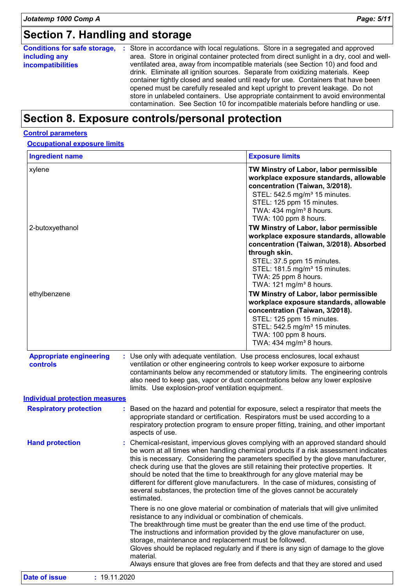# **Section 7. Handling and storage**

| <b>Conditions for safe storage,</b> | Store in accordance with local regulations. Store in a segregated and approved<br>÷       |  |  |  |
|-------------------------------------|-------------------------------------------------------------------------------------------|--|--|--|
| including any                       | area. Store in original container protected from direct sunlight in a dry, cool and well- |  |  |  |
| <b>incompatibilities</b>            | ventilated area, away from incompatible materials (see Section 10) and food and           |  |  |  |
|                                     | drink. Eliminate all ignition sources. Separate from oxidizing materials. Keep            |  |  |  |
|                                     | container tightly closed and sealed until ready for use. Containers that have been        |  |  |  |
|                                     | opened must be carefully resealed and kept upright to prevent leakage. Do not             |  |  |  |
|                                     | store in unlabeled containers. Use appropriate containment to avoid environmental         |  |  |  |
|                                     | contamination. See Section 10 for incompatible materials before handling or use.          |  |  |  |

# **Section 8. Exposure controls/personal protection**

#### **Control parameters**

#### **Occupational exposure limits**

| <b>Ingredient name</b>                                                                     |                                                                                                                                   | <b>Exposure limits</b>                                                                                                                                                                                                                                                                                                                                                                                                                                                                                                                                                                                      |
|--------------------------------------------------------------------------------------------|-----------------------------------------------------------------------------------------------------------------------------------|-------------------------------------------------------------------------------------------------------------------------------------------------------------------------------------------------------------------------------------------------------------------------------------------------------------------------------------------------------------------------------------------------------------------------------------------------------------------------------------------------------------------------------------------------------------------------------------------------------------|
| xylene                                                                                     |                                                                                                                                   | TW Minstry of Labor, labor permissible<br>workplace exposure standards, allowable<br>concentration (Taiwan, 3/2018).<br>STEL: 542.5 mg/m <sup>3</sup> 15 minutes.<br>STEL: 125 ppm 15 minutes.<br>TWA: 434 mg/m <sup>3</sup> 8 hours.<br>TWA: 100 ppm 8 hours.                                                                                                                                                                                                                                                                                                                                              |
| 2-butoxyethanol                                                                            |                                                                                                                                   | TW Minstry of Labor, labor permissible<br>workplace exposure standards, allowable<br>concentration (Taiwan, 3/2018). Absorbed<br>through skin.<br>STEL: 37.5 ppm 15 minutes.<br>STEL: 181.5 mg/m <sup>3</sup> 15 minutes.<br>TWA: 25 ppm 8 hours.<br>TWA: 121 mg/m <sup>3</sup> 8 hours.                                                                                                                                                                                                                                                                                                                    |
| ethylbenzene                                                                               |                                                                                                                                   | TW Minstry of Labor, labor permissible<br>workplace exposure standards, allowable<br>concentration (Taiwan, 3/2018).<br>STEL: 125 ppm 15 minutes.<br>STEL: 542.5 mg/m <sup>3</sup> 15 minutes.<br>TWA: 100 ppm 8 hours.<br>TWA: 434 mg/m <sup>3</sup> 8 hours.                                                                                                                                                                                                                                                                                                                                              |
| <b>Appropriate engineering</b><br><b>controls</b><br><b>Individual protection measures</b> | : Use only with adequate ventilation. Use process enclosures, local exhaust<br>limits. Use explosion-proof ventilation equipment. | ventilation or other engineering controls to keep worker exposure to airborne<br>contaminants below any recommended or statutory limits. The engineering controls<br>also need to keep gas, vapor or dust concentrations below any lower explosive                                                                                                                                                                                                                                                                                                                                                          |
| <b>Respiratory protection</b>                                                              | aspects of use.                                                                                                                   | : Based on the hazard and potential for exposure, select a respirator that meets the<br>appropriate standard or certification. Respirators must be used according to a<br>respiratory protection program to ensure proper fitting, training, and other important                                                                                                                                                                                                                                                                                                                                            |
| <b>Hand protection</b>                                                                     |                                                                                                                                   | : Chemical-resistant, impervious gloves complying with an approved standard should<br>be worn at all times when handling chemical products if a risk assessment indicates<br>this is necessary. Considering the parameters specified by the glove manufacturer,<br>check during use that the gloves are still retaining their protective properties. It<br>should be noted that the time to breakthrough for any glove material may be<br>different for different glove manufacturers. In the case of mixtures, consisting of<br>several substances, the protection time of the gloves cannot be accurately |
|                                                                                            | estimated.                                                                                                                        |                                                                                                                                                                                                                                                                                                                                                                                                                                                                                                                                                                                                             |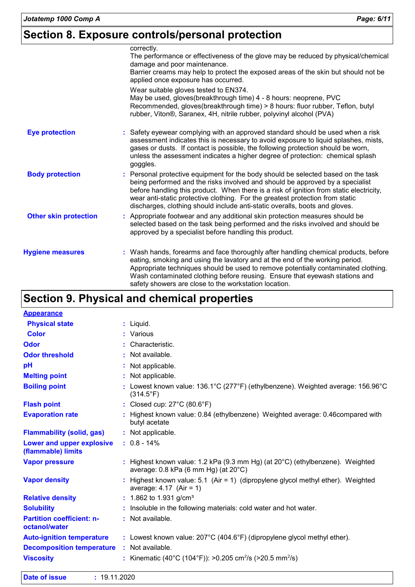# **Section 8. Exposure controls/personal protection**

|                              | correctly.<br>The performance or effectiveness of the glove may be reduced by physical/chemical<br>damage and poor maintenance.<br>Barrier creams may help to protect the exposed areas of the skin but should not be<br>applied once exposure has occurred.                                                                                                                                                                  |
|------------------------------|-------------------------------------------------------------------------------------------------------------------------------------------------------------------------------------------------------------------------------------------------------------------------------------------------------------------------------------------------------------------------------------------------------------------------------|
|                              | Wear suitable gloves tested to EN374.<br>May be used, gloves(breakthrough time) 4 - 8 hours: neoprene, PVC<br>Recommended, gloves(breakthrough time) > 8 hours: fluor rubber, Teflon, butyl<br>rubber, Viton®, Saranex, 4H, nitrile rubber, polyvinyl alcohol (PVA)                                                                                                                                                           |
| <b>Eye protection</b>        | : Safety eyewear complying with an approved standard should be used when a risk<br>assessment indicates this is necessary to avoid exposure to liquid splashes, mists,<br>gases or dusts. If contact is possible, the following protection should be worn,<br>unless the assessment indicates a higher degree of protection: chemical splash<br>goggles.                                                                      |
| <b>Body protection</b>       | : Personal protective equipment for the body should be selected based on the task<br>being performed and the risks involved and should be approved by a specialist<br>before handling this product. When there is a risk of ignition from static electricity,<br>wear anti-static protective clothing. For the greatest protection from static<br>discharges, clothing should include anti-static overalls, boots and gloves. |
| <b>Other skin protection</b> | : Appropriate footwear and any additional skin protection measures should be<br>selected based on the task being performed and the risks involved and should be<br>approved by a specialist before handling this product.                                                                                                                                                                                                     |
| <b>Hygiene measures</b>      | : Wash hands, forearms and face thoroughly after handling chemical products, before<br>eating, smoking and using the lavatory and at the end of the working period.<br>Appropriate techniques should be used to remove potentially contaminated clothing.<br>Wash contaminated clothing before reusing. Ensure that eyewash stations and<br>safety showers are close to the workstation location.                             |

# **Section 9. Physical and chemical properties**

| <b>Appearance</b>                                 |                                                                                                                                             |
|---------------------------------------------------|---------------------------------------------------------------------------------------------------------------------------------------------|
| <b>Physical state</b>                             | : Liquid.                                                                                                                                   |
| <b>Color</b>                                      | : Various                                                                                                                                   |
| <b>Odor</b>                                       | : Characteristic.                                                                                                                           |
| <b>Odor threshold</b>                             | : Not available.                                                                                                                            |
| pH                                                | : Not applicable.                                                                                                                           |
| <b>Melting point</b>                              | : Not applicable.                                                                                                                           |
| <b>Boiling point</b>                              | : Lowest known value: $136.1^{\circ}$ C (277 $^{\circ}$ F) (ethylbenzene). Weighted average: $156.96^{\circ}$ C<br>$(314.5^{\circ}F)$       |
| <b>Flash point</b>                                | : Closed cup: $27^{\circ}$ C (80.6 $^{\circ}$ F)                                                                                            |
| <b>Evaporation rate</b>                           | : Highest known value: 0.84 (ethylbenzene) Weighted average: 0.46 compared with<br>butyl acetate                                            |
| <b>Flammability (solid, gas)</b>                  | : Not applicable.                                                                                                                           |
| Lower and upper explosive<br>(flammable) limits   | $: 0.8 - 14\%$                                                                                                                              |
| <b>Vapor pressure</b>                             | : Highest known value: 1.2 kPa (9.3 mm Hg) (at $20^{\circ}$ C) (ethylbenzene). Weighted<br>average: $0.8$ kPa (6 mm Hg) (at $20^{\circ}$ C) |
| <b>Vapor density</b>                              | : Highest known value: 5.1 (Air = 1) (dipropylene glycol methyl ether). Weighted<br>average: $4.17$ (Air = 1)                               |
| <b>Relative density</b>                           | : 1.862 to 1.931 g/cm <sup>3</sup>                                                                                                          |
| <b>Solubility</b>                                 | : Insoluble in the following materials: cold water and hot water.                                                                           |
| <b>Partition coefficient: n-</b><br>octanol/water | : Not available.                                                                                                                            |
| <b>Auto-ignition temperature</b>                  | : Lowest known value: 207°C (404.6°F) (dipropylene glycol methyl ether).                                                                    |
| <b>Decomposition temperature</b>                  | : Not available.                                                                                                                            |
| <b>Viscosity</b>                                  | : Kinematic (40°C (104°F)): >0.205 cm <sup>2</sup> /s (>20.5 mm <sup>2</sup> /s)                                                            |

| <b>Date of issue</b> | 19.11.2020 |
|----------------------|------------|
|----------------------|------------|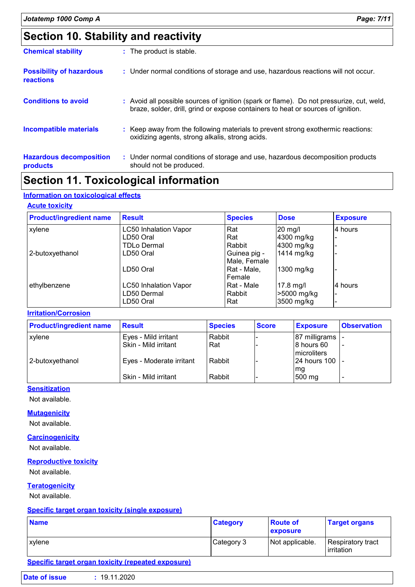# **Section 10. Stability and reactivity**

| <b>Chemical stability</b>                           | : The product is stable.                                                                                                                                                     |
|-----------------------------------------------------|------------------------------------------------------------------------------------------------------------------------------------------------------------------------------|
| <b>Possibility of hazardous</b><br><b>reactions</b> | : Under normal conditions of storage and use, hazardous reactions will not occur.                                                                                            |
| <b>Conditions to avoid</b>                          | : Avoid all possible sources of ignition (spark or flame). Do not pressurize, cut, weld,<br>braze, solder, drill, grind or expose containers to heat or sources of ignition. |
| <b>Incompatible materials</b>                       | : Keep away from the following materials to prevent strong exothermic reactions:<br>oxidizing agents, strong alkalis, strong acids.                                          |
| <b>Hazardous decomposition</b><br>products          | : Under normal conditions of storage and use, hazardous decomposition products<br>should not be produced.                                                                    |

### **Section 11. Toxicological information**

#### **Information on toxicological effects**

#### **Acute toxicity**

| <b>Product/ingredient name</b> | <b>Result</b>                | <b>Species</b> | <b>Dose</b> | <b>Exposure</b> |
|--------------------------------|------------------------------|----------------|-------------|-----------------|
| xylene                         | <b>LC50 Inhalation Vapor</b> | Rat            | 20 mg/l     | 4 hours         |
|                                | LD50 Oral                    | Rat            | 4300 mg/kg  |                 |
|                                | <b>TDLo Dermal</b>           | Rabbit         | 4300 mg/kg  |                 |
| 2-butoxyethanol                | LD50 Oral                    | Guinea pig -   | 1414 mg/kg  |                 |
|                                |                              | Male, Female   |             |                 |
|                                | LD50 Oral                    | Rat - Male,    | 1300 mg/kg  |                 |
|                                |                              | Female         |             |                 |
| ethylbenzene                   | <b>LC50 Inhalation Vapor</b> | Rat - Male     | $17.8$ mg/l | 4 hours         |
|                                | LD50 Dermal                  | Rabbit         | >5000 mg/kg |                 |
|                                | LD50 Oral                    | Rat            | 3500 mg/kg  |                 |

#### **Irritation/Corrosion**

| <b>Product/ingredient name</b> | <b>Result</b>            | <b>Species</b> | <b>Score</b> | <b>Exposure</b>            | <b>Observation</b> |
|--------------------------------|--------------------------|----------------|--------------|----------------------------|--------------------|
| <b>xylene</b>                  | Eyes - Mild irritant     | Rabbit         |              | 87 milligrams              |                    |
|                                | Skin - Mild irritant     | l Rat          |              | 18 hours 60<br>microliters |                    |
| 2-butoxyethanol                | Eyes - Moderate irritant | l Rabbit       |              | 24 hours 100  -            |                    |
|                                | Skin - Mild irritant     | Rabbit         |              | Img<br>500 mg              |                    |

#### **Sensitization**

Not available.

#### **Mutagenicity**

Not available.

#### **Carcinogenicity**

Not available.

#### **Reproductive toxicity**

Not available.

#### **Teratogenicity**

Not available.

#### **Specific target organ toxicity (single exposure)**

| <b>Name</b> | <b>Category</b> | <b>Route of</b><br><b>exposure</b> | <b>Target organs</b>             |
|-------------|-----------------|------------------------------------|----------------------------------|
| xylene      | Category 3      | Not applicable.                    | Respiratory tract_<br>Irritation |

#### **Specific target organ toxicity (repeated exposure)**

| <b>Date of issue</b> | : 19.11.2020 |  |
|----------------------|--------------|--|
|                      |              |  |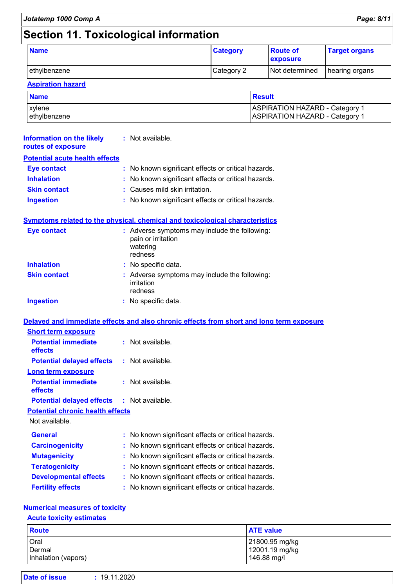# **Section 11. Toxicological information**

| <b>Name</b>  | <b>Category</b> | <b>Route of</b><br><b>exposure</b> | <b>Target organs</b> |
|--------------|-----------------|------------------------------------|----------------------|
| ethylbenzene | Category 2      | Not determined                     | hearing organs       |

#### **Aspiration hazard**

| <b>Name</b>  | Result                         |
|--------------|--------------------------------|
| xvlene       | ASPIRATION HAZARD - Category 1 |
| ethylbenzene | ASPIRATION HAZARD - Category 1 |

| <b>Information on the likely : Not available.</b><br>routes of exposure |                                                                                            |  |
|-------------------------------------------------------------------------|--------------------------------------------------------------------------------------------|--|
| <b>Potential acute health effects</b>                                   |                                                                                            |  |
| Eye contact                                                             | : No known significant effects or critical hazards.                                        |  |
| <b>Inhalation</b>                                                       | : No known significant effects or critical hazards.                                        |  |
| <b>Skin contact</b>                                                     | $:$ Causes mild skin irritation.                                                           |  |
| <b>Ingestion</b>                                                        | : No known significant effects or critical hazards.                                        |  |
|                                                                         | <b>Symptoms related to the physical, chemical and toxicological characteristics</b>        |  |
| Eye contact                                                             | : Adverse symptoms may include the following:<br>pain or irritation<br>watering<br>redness |  |
| <b>Inhalation</b>                                                       | : No specific data.                                                                        |  |
| <b>Skin contact</b>                                                     | : Adverse symptoms may include the following:<br>1. <b>1.</b> 1.                           |  |

|                  | $\ldots$<br>irritation<br>redness |
|------------------|-----------------------------------|
| <b>Ingestion</b> | : No specific data.               |

#### **Delayed and immediate effects and also chronic effects from short and long term exposure**

| <b>Short term exposure</b>                        |                    |
|---------------------------------------------------|--------------------|
| <b>Potential immediate</b><br>effects             | : Not available :  |
| <b>Potential delayed effects</b>                  | : Not available.   |
| Long term exposure                                |                    |
| <b>Potential immediate</b><br>effects             | $:$ Not available. |
| <b>Potential delayed effects : Not available.</b> |                    |
| <b>Potential chronic health effects</b>           |                    |

Not available.

| <b>General</b>               | : No known significant effects or critical hazards. |
|------------------------------|-----------------------------------------------------|
| <b>Carcinogenicity</b>       | : No known significant effects or critical hazards. |
| <b>Mutagenicity</b>          | : No known significant effects or critical hazards. |
| <b>Teratogenicity</b>        | : No known significant effects or critical hazards. |
| <b>Developmental effects</b> | : No known significant effects or critical hazards. |
| <b>Fertility effects</b>     | : No known significant effects or critical hazards. |

#### **Numerical measures of toxicity**

#### **Acute toxicity estimates**

| Route               | <b>ATE value</b> |
|---------------------|------------------|
| Oral                | 21800.95 mg/kg   |
| Dermal              | 12001.19 mg/kg   |
| Inhalation (vapors) | 146.88 mg/l      |

| Date of issue | : 19.11.2020 |  |
|---------------|--------------|--|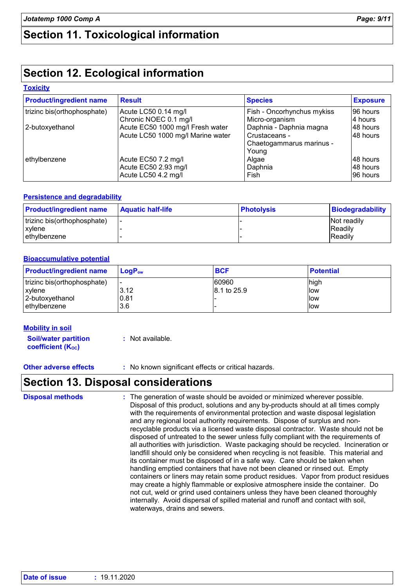# **Section 11. Toxicological information**

# **Section 12. Ecological information**

#### **Toxicity**

| <b>Product/ingredient name</b> | <b>Result</b>                     | <b>Species</b>             | <b>Exposure</b> |
|--------------------------------|-----------------------------------|----------------------------|-----------------|
| trizinc bis(orthophosphate)    | Acute LC50 0.14 mg/l              | Fish - Oncorhynchus mykiss | 96 hours        |
|                                | Chronic NOEC 0.1 mg/l             | Micro-organism             | 4 hours         |
| 2-butoxyethanol                | Acute EC50 1000 mg/l Fresh water  | Daphnia - Daphnia magna    | 48 hours        |
|                                | Acute LC50 1000 mg/l Marine water | Crustaceans -              | 48 hours        |
|                                |                                   | Chaetogammarus marinus -   |                 |
|                                |                                   | Young                      |                 |
| ethylbenzene                   | Acute EC50 7.2 mg/l               | Algae                      | 48 hours        |
|                                | Acute EC50 2.93 mg/l              | Daphnia                    | I48 hours       |
|                                | Acute LC50 4.2 mg/l               | Fish                       | 196 hours       |

#### **Persistence and degradability**

| <b>Product/ingredient name</b> | <b>Aquatic half-life</b> | <b>Photolysis</b> | <b>Biodegradability</b> |
|--------------------------------|--------------------------|-------------------|-------------------------|
| trizinc bis(orthophosphate)    |                          |                   | <b>Not readily</b>      |
| xvlene                         |                          |                   | <b>Readily</b>          |
| l ethvlbenzene                 |                          |                   | <b>Readily</b>          |

#### **Bioaccumulative potential**

| <b>Product/ingredient name</b> | $LoaPow$  | <b>BCF</b>  | <b>Potential</b> |
|--------------------------------|-----------|-------------|------------------|
| trizinc bis(orthophosphate)    | <u>. </u> | 60960       | high             |
| <b>xvlene</b>                  | 3.12      | 8.1 to 25.9 | llow             |
| 2-butoxyethanol                | 0.81      |             | llow             |
| lethvlbenzene                  | 3.6       |             | llow             |

#### **Mobility in soil**

**Soil/water partition coefficient (KOC)**

**:** Not available.

**Other adverse effects :** No known significant effects or critical hazards.

### **Section 13. Disposal considerations**

The generation of waste should be avoided or minimized wherever possible. Disposal of this product, solutions and any by-products should at all times comply with the requirements of environmental protection and waste disposal legislation and any regional local authority requirements. Dispose of surplus and nonrecyclable products via a licensed waste disposal contractor. Waste should not be disposed of untreated to the sewer unless fully compliant with the requirements of all authorities with jurisdiction. Waste packaging should be recycled. Incineration or landfill should only be considered when recycling is not feasible. This material and its container must be disposed of in a safe way. Care should be taken when handling emptied containers that have not been cleaned or rinsed out. Empty containers or liners may retain some product residues. Vapor from product residues may create a highly flammable or explosive atmosphere inside the container. Do not cut, weld or grind used containers unless they have been cleaned thoroughly internally. Avoid dispersal of spilled material and runoff and contact with soil, waterways, drains and sewers. **Disposal methods :**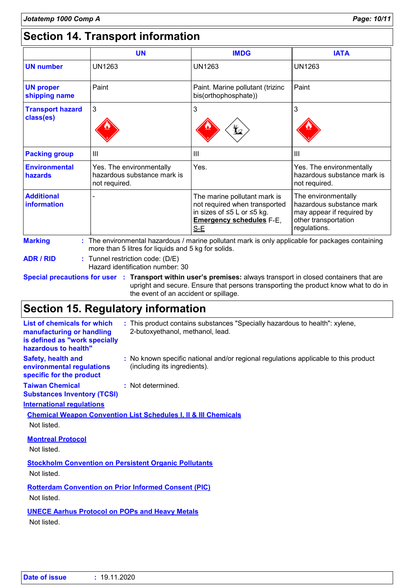# **Section 14. Transport information**

|                                      | <b>UN</b>                                                                                                                                               | <b>IMDG</b>                                                                                                                             | <b>IATA</b>                                                                                                          |
|--------------------------------------|---------------------------------------------------------------------------------------------------------------------------------------------------------|-----------------------------------------------------------------------------------------------------------------------------------------|----------------------------------------------------------------------------------------------------------------------|
| <b>UN number</b>                     | <b>UN1263</b>                                                                                                                                           | UN1263                                                                                                                                  | <b>UN1263</b>                                                                                                        |
| <b>UN proper</b><br>shipping name    | Paint                                                                                                                                                   | Paint. Marine pollutant (trizinc<br>bis(orthophosphate))                                                                                | Paint                                                                                                                |
| <b>Transport hazard</b><br>class(es) | 3                                                                                                                                                       | 3<br>¥2                                                                                                                                 | 3                                                                                                                    |
| <b>Packing group</b>                 | III                                                                                                                                                     | III                                                                                                                                     | $\mathbf{III}$                                                                                                       |
| <b>Environmental</b><br>hazards      | Yes. The environmentally<br>hazardous substance mark is<br>not required.                                                                                | Yes.                                                                                                                                    | Yes. The environmentally<br>hazardous substance mark is<br>not required.                                             |
| <b>Additional</b><br>information     |                                                                                                                                                         | The marine pollutant mark is<br>not required when transported<br>in sizes of ≤5 L or ≤5 kg.<br><b>Emergency schedules F-E,</b><br>$S-E$ | The environmentally<br>hazardous substance mark<br>may appear if required by<br>other transportation<br>regulations. |
| <b>Marking</b>                       | : The environmental hazardous / marine pollutant mark is only applicable for packages containing<br>more than 5 litres for liquids and 5 kg for solids. |                                                                                                                                         |                                                                                                                      |
| <b>ADR / RID</b>                     | Tunnel restriction code: (D/E)<br>Hazard identification number: 30                                                                                      |                                                                                                                                         |                                                                                                                      |

**Special precautions for user Transport within user's premises:** always transport in closed containers that are **:** upright and secure. Ensure that persons transporting the product know what to do in the event of an accident or spillage.

### **Section 15. Regulatory information**

| <b>List of chemicals for which</b><br>manufacturing or handling<br>is defined as "work specially<br>hazardous to health" | : This product contains substances "Specially hazardous to health": xylene,<br>2-butoxyethanol, methanol, lead.     |
|--------------------------------------------------------------------------------------------------------------------------|---------------------------------------------------------------------------------------------------------------------|
| <b>Safety, health and</b><br>environmental regulations<br>specific for the product                                       | : No known specific national and/or regional regulations applicable to this product<br>(including its ingredients). |
| <b>Taiwan Chemical</b><br><b>Substances Inventory (TCSI)</b>                                                             | : Not determined.                                                                                                   |
| <b>International requlations</b>                                                                                         |                                                                                                                     |
| Not listed.                                                                                                              | <b>Chemical Weapon Convention List Schedules I, II &amp; III Chemicals</b>                                          |
| <b>Montreal Protocol</b><br>Not listed.                                                                                  |                                                                                                                     |
| <b>Stockholm Convention on Persistent Organic Pollutants</b><br>Not listed.                                              |                                                                                                                     |
| <b>Rotterdam Convention on Prior Informed Consent (PIC)</b><br>Not listed.                                               |                                                                                                                     |
| <b>UNECE Aarhus Protocol on POPs and Heavy Metals</b><br>Not listed.                                                     |                                                                                                                     |
|                                                                                                                          |                                                                                                                     |